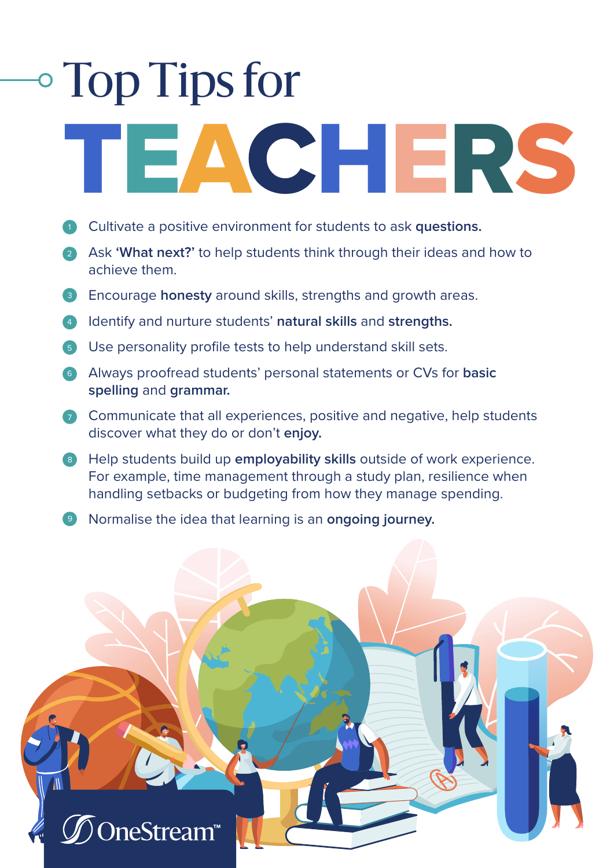## Top Tips for

## TEACHERS

- **Cultivate a positive environment for students to ask questions.**
- Ask **'What next?'** to help students think through their ideas and how to 2 achieve them.
- **B** Encourage honesty around skills, strengths and growth areas.
- Identify and nurture students' **natural skills** and **strengths.** 4
- **5** Use personality profile tests to help understand skill sets.
- Always proofread students' personal statements or CVs for **basic**  6 **spelling** and **grammar.**
- 7 Communicate that all experiences, positive and negative, help students discover what they do or don't **enjoy.**
- **B** Help students build up employability skills outside of work experience. For example, time management through a study plan, resilience when handling setbacks or budgeting from how they manage spending.
- Normalise the idea that learning is an **ongoing journey.** 9